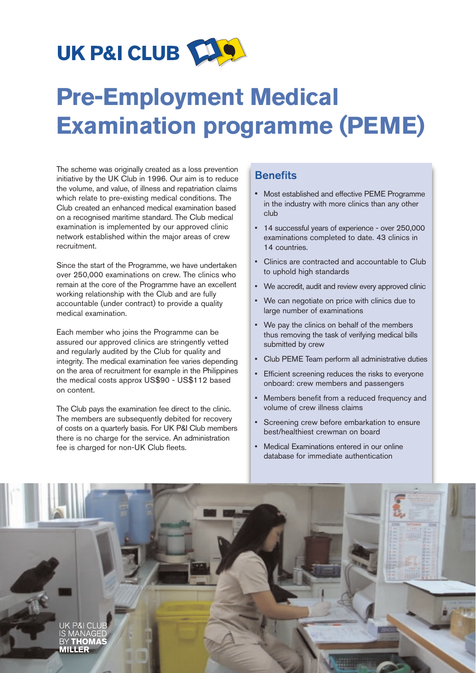

# **Pre-Employment Medical Examination programme (PEME)**

The scheme was originally created as a loss prevention initiative by the UK Club in 1996. Our aim is to reduce the volume, and value, of illness and repatriation claims which relate to pre-existing medical conditions. The Club created an enhanced medical examination based on a recognised maritime standard. The Club medical examination is implemented by our approved clinic network established within the major areas of crew recruitment.

Since the start of the Programme, we have undertaken over 250,000 examinations on crew. The clinics who remain at the core of the Programme have an excellent working relationship with the Club and are fully accountable (under contract) to provide a quality medical examination.

Each member who joins the Programme can be assured our approved clinics are stringently vetted and regularly audited by the Club for quality and integrity. The medical examination fee varies depending on the area of recruitment for example in the Philippines the medical costs approx US\$90 - US\$112 based on content.

The Club pays the examination fee direct to the clinic. The members are subsequently debited for recovery of costs on a quarterly basis. For UK P&I Club members there is no charge for the service. An administration fee is charged for non-UK Club fleets.

## **Benefits**

- Most established and effective PEME Programme in the industry with more clinics than any other club
- 14 successful years of experience over 250,000 examinations completed to date. 43 clinics in 14 countries.
- Clinics are contracted and accountable to Club to uphold high standards
- We accredit, audit and review every approved clinic
- We can negotiate on price with clinics due to large number of examinations
- We pay the clinics on behalf of the members thus removing the task of verifying medical bills submitted by crew
- Club PEME Team perform all administrative duties
- Efficient screening reduces the risks to everyone onboard: crew members and passengers
- Members benefit from a reduced frequency and volume of crew illness claims
- Screening crew before embarkation to ensure best/healthiest crewman on board
- Medical Examinations entered in our online database for immediate authentication